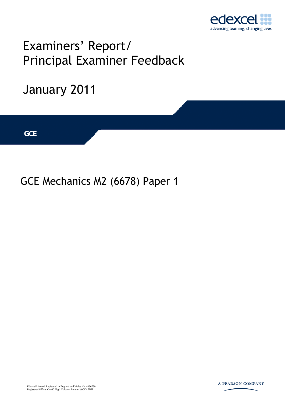

## Examiners' Report/ Principal Examiner Feedback

# January 2011 **IGCSE GCE**

### GCE Mechanics M2 (6678) Paper 1

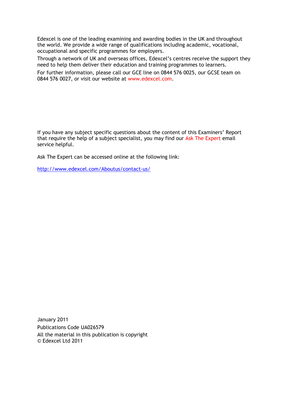Edexcel is one of the leading examining and awarding bodies in the UK and throughout the world. We provide a wide range of qualifications including academic, vocational, occupational and specific programmes for employers.

Through a network of UK and overseas offices, Edexcel's centres receive the support they need to help them deliver their education and training programmes to learners.

For further information, please call our GCE line on 0844 576 0025, our GCSE team on 0844 576 0027, or visit our website at www.edexcel.com.

If you have any subject specific questions about the content of this Examiners' Report that require the help of a subject specialist, you may find our Ask The Expert email service helpful.

Ask The Expert can be accessed online at the following link:

http://www.edexcel.com/Aboutus/contact-us/

January 2011 Publications Code UA026579 All the material in this publication is copyright © Edexcel Ltd 2011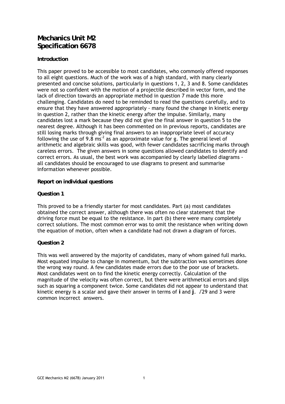#### **Mechanics Unit M2 Specification 6678**

#### **Introduction**

This paper proved to be accessible to most candidates, who commonly offered responses to all eight questions. Much of the work was of a high standard, with many clearly presented and concise solutions, particularly in questions 1, 2, 3 and 8. Some candidates were not so confident with the motion of a projectile described in vector form, and the lack of direction towards an appropriate method in question 7 made this more challenging. Candidates do need to be reminded to read the questions carefully, and to ensure that they have answered appropriately - many found the change in kinetic energy in question 2, rather than the kinetic energy after the impulse. Similarly, many candidates lost a mark because they did not give the final answer in question 5 to the nearest degree. Although it has been commented on in previous reports, candidates are still losing marks through giving final answers to an inappropriate level of accuracy following the use of 9.8 ms<sup>-2</sup> as an approximate value for g. The general level of arithmetic and algebraic skills was good, with fewer candidates sacrificing marks through careless errors. The given answers in some questions allowed candidates to identify and correct errors. As usual, the best work was accompanied by clearly labelled diagrams all candidates should be encouraged to use diagrams to present and summarise information whenever possible.

#### **Report on individual questions**

#### **Question 1**

This proved to be a friendly starter for most candidates. Part (a) most candidates obtained the correct answer, although there was often no clear statement that the driving force must be equal to the resistance. In part (b) there were many completely correct solutions. The most common error was to omit the resistance when writing down the equation of motion, often when a candidate had not drawn a diagram of forces.

#### **Question 2**

This was well answered by the majority of candidates, many of whom gained full marks. Most equated impulse to change in momentum, but the subtraction was sometimes done the wrong way round. A few candidates made errors due to the poor use of brackets. Most candidates went on to find the kinetic energy correctly. Calculation of the magnitude of the velocity was often correct, but there were arithmetical errors and slips such as squaring a component twice. Some candidates did not appear to understand that kinetic energy is a scalar and gave their answer in terms of **i** and **j**. √29 and 3 were common incorrect answers.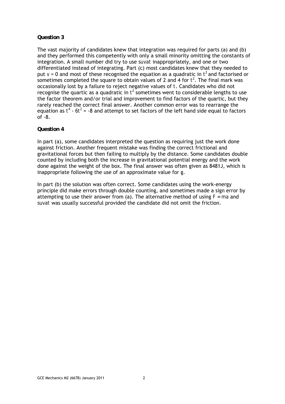The vast majority of candidates knew that integration was required for parts (a) and (b) and they performed this competently with only a small minority omitting the constants of integration. A small number did try to use *suvat* inappropriately, and one or two differentiated instead of integrating. Part (c) most candidates knew that they needed to put  $v$  = 0 and most of these recognised the equation as a quadratic in  $t^2$  and factorised or sometimes completed the square to obtain values of 2 and 4 for  $t^2$ . The final mark was occasionally lost by a failure to reject negative values of *t*. Candidates who did not recognise the quartic as a quadratic in  $t^2$  sometimes went to considerable lengths to use the factor theorem and/or trial and improvement to find factors of the quartic, but they rarely reached the correct final answer. Another common error was to rearrange the equation as  $t^4$  -  $\delta t^2$  = -8 and attempt to set factors of the left hand side equal to factors of -8.

#### **Question 4**

In part (a), some candidates interpreted the question as requiring just the work done against friction. Another frequent mistake was finding the correct frictional and gravitational forces but then failing to multiply by the distance. Some candidates double counted by including both the increase in gravitational potential energy and the work done against the weight of the box. The final answer was often given as 8481J, which is inappropriate following the use of an approximate value for g.

In part (b) the solution was often correct. Some candidates using the work-energy principle did make errors through double counting, and sometimes made a sign error by attempting to use their answer from (a). The alternative method of using *F = ma* and *suvat* was usually successful provided the candidate did not omit the friction.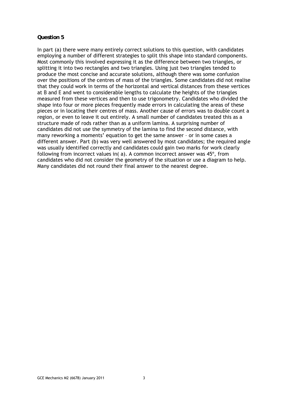In part (a) there were many entirely correct solutions to this question, with candidates employing a number of different strategies to split this shape into standard components. Most commonly this involved expressing it as the difference between two triangles, or splitting it into two rectangles and two triangles. Using just two triangles tended to produce the most concise and accurate solutions, although there was some confusion over the positions of the centres of mass of the triangles. Some candidates did not realise that they could work in terms of the horizontal and vertical distances from these vertices at *B* and *E* and went to considerable lengths to calculate the heights of the triangles measured from these vertices and then to use trigonometry. Candidates who divided the shape into four or more pieces frequently made errors in calculating the areas of these pieces or in locating their centres of mass. Another cause of errors was to double count a region, or even to leave it out entirely. A small number of candidates treated this as a structure made of rods rather than as a uniform lamina. A surprising number of candidates did not use the symmetry of the lamina to find the second distance, with many reworking a moments' equation to get the same answer – or in some cases a different answer. Part (b) was very well answered by most candidates; the required angle was usually identified correctly and candidates could gain two marks for work clearly following from incorrect values in( a). A common incorrect answer was 45º, from candidates who did not consider the geometry of the situation or use a diagram to help. Many candidates did not round their final answer to the nearest degree.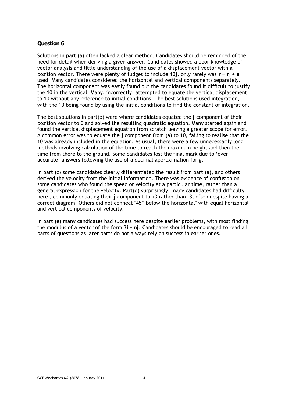Solutions in part (a) often lacked a clear method. Candidates should be reminded of the need for detail when deriving a given answer. Candidates showed a poor knowledge of vector analysis and little understanding of the use of a displacement vector with a position vector. There were plenty of fudges to include 10j, only rarely was  $\mathbf{r} = \mathbf{r}_0 + \mathbf{s}$ used. Many candidates considered the horizontal and vertical components separately. The horizontal component was easily found but the candidates found it difficult to justify the 10 in the vertical. Many, incorrectly, attempted to equate the vertical displacement to 10 without any reference to initial conditions. The best solutions used integration, with the 10 being found by using the initial conditions to find the constant of integration.

The best solutions in part(b) were where candidates equated the **j** component of their position vector to 0 and solved the resulting quadratic equation. Many started again and found the vertical displacement equation from scratch leaving a greater scope for error. A common error was to equate the **j** component from (a) to 10, failing to realise that the 10 was already included in the equation. As usual, there were a few unnecessarily long methods involving calculation of the time to reach the maximum height and then the time from there to the ground. Some candidates lost the final mark due to 'over accurate' answers following the use of a decimal approximation for g.

In part (c) some candidates clearly differentiated the result from part (a), and others derived the velocity from the initial information. There was evidence of confusion on some candidates who found the speed or velocity at a particular time, rather than a general expression for the velocity. Part(d) surprisingly, many candidates had difficulty here , commonly equating their *j* component to +3 rather than -3, often despite having a correct diagram. Others did not connect "45° below the horizontal" with equal horizontal and vertical components of velocity.

In part (e) many candidates had success here despite earlier problems, with most finding the modulus of a vector of the form 3**i** + n**j**. Candidates should be encouraged to read all parts of questions as later parts do not always rely on success in earlier ones.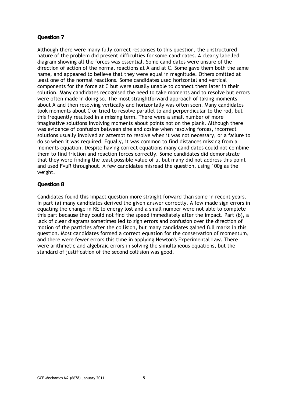Although there were many fully correct responses to this question, the unstructured nature of the problem did present difficulties for some candidates. A clearly labelled diagram showing all the forces was essential. Some candidates were unsure of the direction of action of the normal reactions at *A* and at *C*. Some gave them both the same name, and appeared to believe that they were equal in magnitude. Others omitted at least one of the normal reactions. Some candidates used horizontal and vertical components for the force at *C* but were usually unable to connect them later in their solution. Many candidates recognised the need to take moments and to resolve but errors were often made in doing so. The most straightforward approach of taking moments about *A* and then resolving vertically and horizontally was often seen. Many candidates took moments about *C* or tried to resolve parallel to and perpendicular to the rod, but this frequently resulted in a missing term. There were a small number of more imaginative solutions involving moments about points not on the plank. Although there was evidence of confusion between sine and cosine when resolving forces, incorrect solutions usually involved an attempt to resolve when it was not necessary, or a failure to do so when it was required. Equally, it was common to find distances missing from a moments equation. Despite having correct equations many candidates could not combine them to find friction and reaction forces correctly. Some candidates did demonstrate that they were finding the least possible value of  $\mu$ , but many did not address this point and used F=µR throughout. A few candidates misread the question, using 100g as the weight.

#### **Question 8**

Candidates found this impact question more straight forward than some in recent years. In part (a) many candidates derived the given answer correctly. A few made sign errors in equating the change in KE to energy lost and a small number were not able to complete this part because they could not find the speed immediately after the impact. Part (b), a lack of clear diagrams sometimes led to sign errors and confusion over the direction of motion of the particles after the collision, but many candidates gained full marks in this question. Most candidates formed a correct equation for the conservation of momentum, and there were fewer errors this time in applying Newton's Experimental Law. There were arithmetic and algebraic errors in solving the simultaneous equations, but the standard of justification of the second collision was good.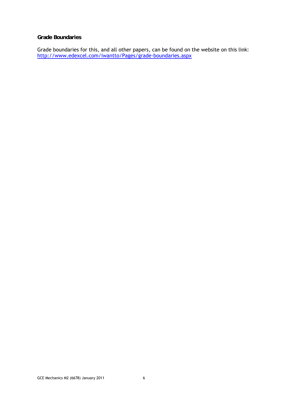#### **Grade Boundaries**

Grade boundaries for this, and all other papers, can be found on the website on this link: http://www.edexcel.com/iwantto/Pages/grade-boundaries.aspx